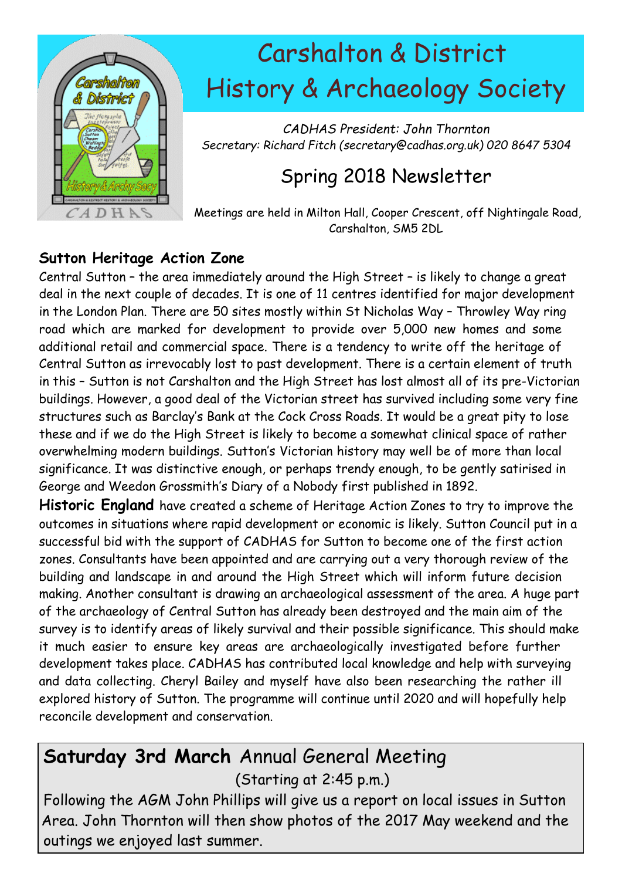

# Carshalton & District History & Archaeology Society

*CADHAS President: John Thornton Secretary: Richard Fitch (secretary@cadhas.org.uk) 020 8647 5304*

# Spring 2018 Newsletter

Meetings are held in Milton Hall, Cooper Crescent, off Nightingale Road, Carshalton, SM5 2DL

#### **Sutton Heritage Action Zone**

Central Sutton – the area immediately around the High Street – is likely to change a great deal in the next couple of decades. It is one of 11 centres identified for major development in the London Plan. There are 50 sites mostly within St Nicholas Way – Throwley Way ring road which are marked for development to provide over 5,000 new homes and some additional retail and commercial space. There is a tendency to write off the heritage of Central Sutton as irrevocably lost to past development. There is a certain element of truth in this – Sutton is not Carshalton and the High Street has lost almost all of its pre-Victorian buildings. However, a good deal of the Victorian street has survived including some very fine structures such as Barclay's Bank at the Cock Cross Roads. It would be a great pity to lose these and if we do the High Street is likely to become a somewhat clinical space of rather overwhelming modern buildings. Sutton's Victorian history may well be of more than local significance. It was distinctive enough, or perhaps trendy enough, to be gently satirised in George and Weedon Grossmith's Diary of a Nobody first published in 1892.

**Historic England** have created a scheme of Heritage Action Zones to try to improve the outcomes in situations where rapid development or economic is likely. Sutton Council put in a successful bid with the support of CADHAS for Sutton to become one of the first action zones. Consultants have been appointed and are carrying out a very thorough review of the building and landscape in and around the High Street which will inform future decision making. Another consultant is drawing an archaeological assessment of the area. A huge part of the archaeology of Central Sutton has already been destroyed and the main aim of the survey is to identify areas of likely survival and their possible significance. This should make it much easier to ensure key areas are archaeologically investigated before further development takes place. CADHAS has contributed local knowledge and help with surveying and data collecting. Cheryl Bailey and myself have also been researching the rather ill explored history of Sutton. The programme will continue until 2020 and will hopefully help reconcile development and conservation.

# **Saturday 3rd March** Annual General Meeting (Starting at 2:45 p.m.)

Following the AGM John Phillips will give us a report on local issues in Sutton Area. John Thornton will then show photos of the 2017 May weekend and the outings we enjoyed last summer.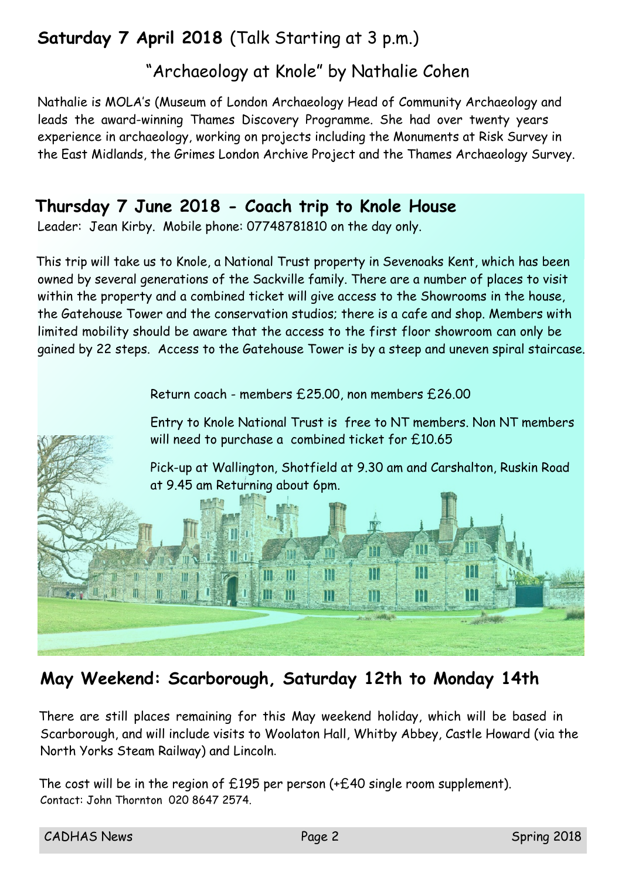# **Saturday 7 April 2018** (Talk Starting at 3 p.m.)

## "Archaeology at Knole" by Nathalie Cohen

Nathalie is MOLA's (Museum of London Archaeology Head of Community Archaeology and leads the award-winning Thames Discovery Programme. She had over twenty years experience in archaeology, working on projects including the Monuments at Risk Survey in the East Midlands, the Grimes London Archive Project and the Thames Archaeology Survey.

#### **Thursday 7 June 2018 - Coach trip to Knole House**

Leader: Jean Kirby. Mobile phone: 07748781810 on the day only.

This trip will take us to Knole, a National Trust property in Sevenoaks Kent, which has been owned by several generations of the Sackville family. There are a number of places to visit within the property and a combined ticket will give access to the Showrooms in the house, the Gatehouse Tower and the conservation studios; there is a cafe and shop. Members with limited mobility should be aware that the access to the first floor showroom can only be gained by 22 steps. Access to the Gatehouse Tower is by a steep and uneven spiral staircase.

Return coach - members £25.00, non members £26.00



### **May Weekend: Scarborough, Saturday 12th to Monday 14th**

There are still places remaining for this May weekend holiday, which will be based in Scarborough, and will include visits to Woolaton Hall, Whitby Abbey, Castle Howard (via the North Yorks Steam Railway) and Lincoln.

The cost will be in the region of  $£195$  per person (+ $£40$  single room supplement). Contact: John Thornton 020 8647 2574.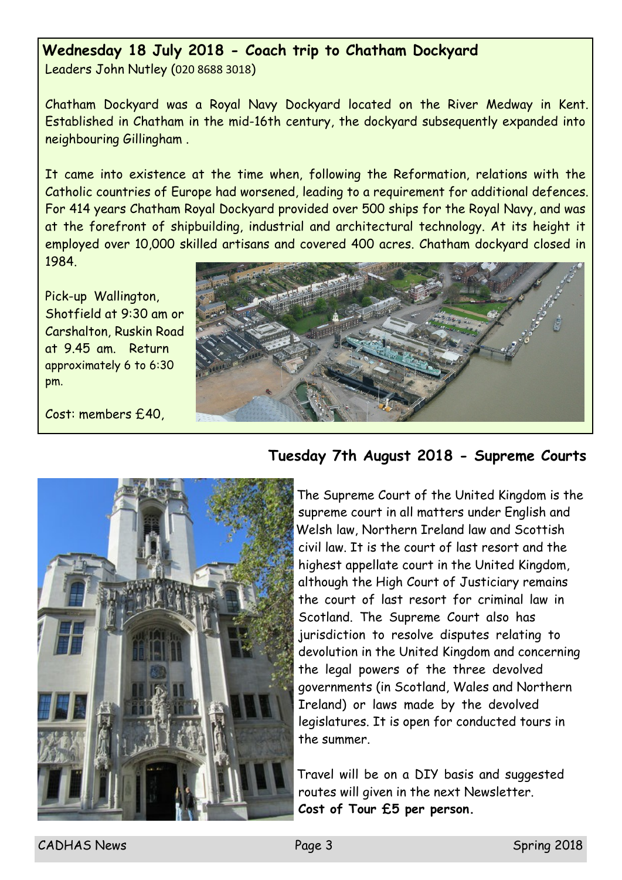#### **Wednesday 18 July 2018 - Coach trip to Chatham Dockyard**

Leaders John Nutley (020 8688 3018)

Chatham Dockyard was a Royal Navy Dockyard located on the River Medway in Kent. Established in Chatham in the mid-16th century, the dockyard subsequently expanded into neighbouring Gillingham .

It came into existence at the time when, following the Reformation, relations with the Catholic countries of Europe had worsened, leading to a requirement for additional defences. For 414 years Chatham Royal Dockyard provided over 500 ships for the Royal Navy, and was at the forefront of shipbuilding, industrial and architectural technology. At its height it employed over 10,000 skilled artisans and covered 400 acres. Chatham dockyard closed in 1984.

Pick-up Wallington, Shotfield at 9:30 am or Carshalton, Ruskin Road at 9.45 am. Return approximately 6 to 6:30 pm.

Cost: members £40,





#### **Tuesday 7th August 2018 - Supreme Courts**

The Supreme Court of the United Kingdom is the supreme court in all matters under English and Welsh law, Northern Ireland law and Scottish civil law. It is the court of last resort and the highest appellate court in the United Kingdom, although the High Court of Justiciary remains the court of last resort for criminal law in Scotland. The Supreme Court also has jurisdiction to resolve disputes relating to devolution in the United Kingdom and concerning the legal powers of the three devolved governments (in Scotland, Wales and Northern Ireland) or laws made by the devolved legislatures. It is open for conducted tours in the summer.

Travel will be on a DIY basis and suggested routes will given in the next Newsletter. **Cost of Tour £5 per person.**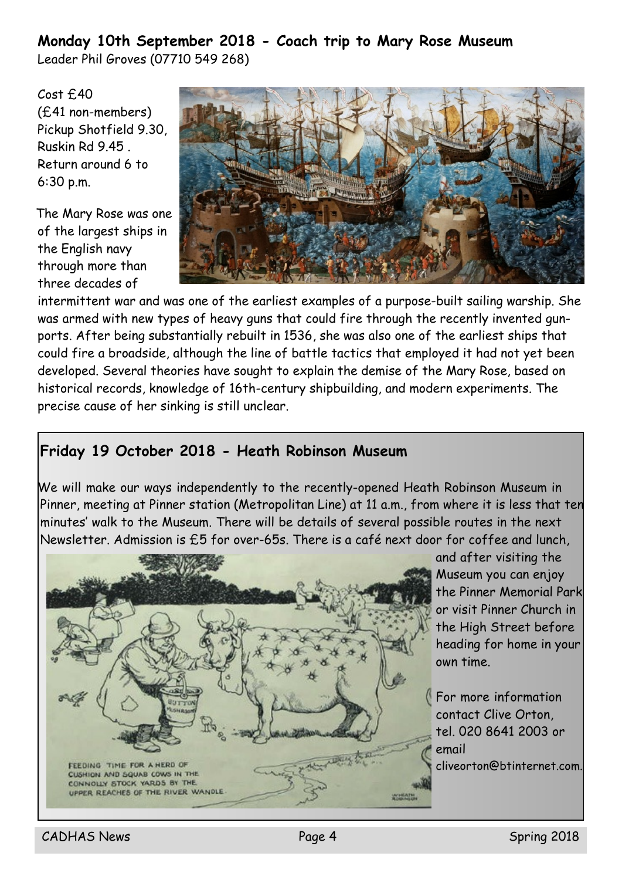#### **Monday 10th September 2018 - Coach trip to Mary Rose Museum** Leader Phil Groves (07710 549 268)

Cost £40 (£41 non-members) Pickup Shotfield 9.30, Ruskin Rd 9.45 . Return around 6 to 6:30 p.m.

The Mary Rose was one of the largest ships in the English navy through more than three decades of



intermittent war and was one of the earliest examples of a purpose-built sailing warship. She was armed with new types of heavy guns that could fire through the recently invented gunports. After being substantially rebuilt in 1536, she was also one of the earliest ships that could fire a broadside, although the line of battle tactics that employed it had not yet been developed. Several theories have sought to explain the demise of the Mary Rose, based on historical records, knowledge of 16th-century shipbuilding, and modern experiments. The precise cause of her sinking is still unclear.

#### **Friday 19 October 2018 - Heath Robinson Museum**

We will make our ways independently to the recently-opened Heath Robinson Museum in Pinner, meeting at Pinner station (Metropolitan Line) at 11 a.m., from where it is less that ten minutes' walk to the Museum. There will be details of several possible routes in the next Newsletter. Admission is £5 for over-65s. There is a café next door for coffee and lunch,



and after visiting the Museum you can enjoy the Pinner Memorial Park or visit Pinner Church in the High Street before heading for home in your own time.

For more information contact Clive Orton, tel. 020 8641 2003 or email cliveorton@btinternet.com.

CADHAS News **Page 4** Spring 2018